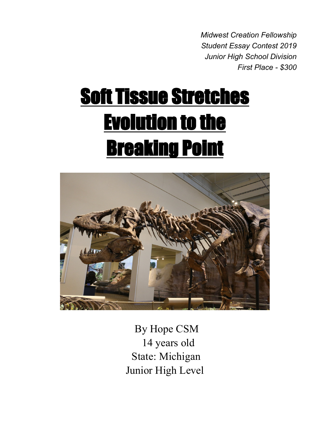*Midwest Creation Fellowship Student Essay Contest 2019 Junior High School Division First Place - \$300*

# Soft Tissue Stretches Evolution to the Breaking Point



By Hope CSM 14 years old State: Michigan Junior High Level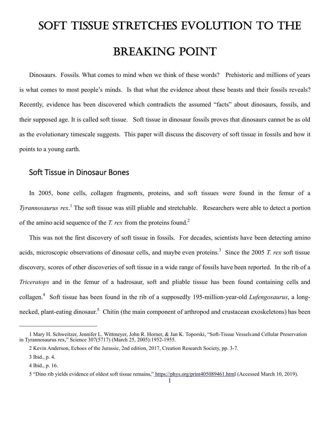# SOFT TISSUE STRETCHES EVOLUTION TO THE BREAKING POINT

Dinosaurs. Fossils. What comes to mind when we think of these words? Prehistoric and millions of years is what comes to most people's minds. Is that what the evidence about these beasts and their fossils reveals? Recently, evidence has been discovered which contradicts the assumed "facts" about dinosaurs, fossils, and their supposed age. It is called soft tissue. Soft tissue in dinosaur fossils proves that dinosaurs cannot be as old as the evolutionary timescale suggests. This paper will discuss the discovery of soft tissue in fossils and how it points to a young earth.

## Soft Tissue in Dinosaur Bones

In 2005, bone cells, collagen fragments, proteins, and soft tissues were found in the femur of a *Tyrannosaurus rex*. 1 The soft tissue was still pliable and stretchable. Researchers were able to detect a portion of the amino acid sequence of the *T. rex* from the proteins found.<sup>2</sup>

This was not the first discovery of soft tissue in fossils. For decades, scientists have been detecting amino acids, microscopic observations of dinosaur cells, and maybe even proteins.<sup>3</sup> Since the 2005 *T. rex* soft tissue discovery, scores of other discoveries of soft tissue in a wide range of fossils have been reported. In the rib of a *Triceratops* and in the femur of a hadrosaur, soft and pliable tissue has been found containing cells and collagen.<sup>4</sup> Soft tissue has been found in the rib of a supposedly 195-million-year-old *Lufengosaurus*, a longnecked, plant-eating dinosaur.<sup>5</sup> Chitin (the main component of arthropod and crustacean exoskeletons) has been

<sup>1</sup> Mary H. Schweitzer, Jennifer L. Wittmeyer, John R. Horner, & Jan K. Toporski, "Soft-Tissue Vessels and Cellular Preservation in Tyrannosaurus rex," Science 307(5717) (March 25, 2005):1952-1955.

<sup>2</sup> Kevin Anderson, Echoes of the Jurassic, 2nd edition, 2017, Creation Research Society, pp. 3-7.

<sup>3</sup> Ibid., p. 4.

<sup>4</sup> Ibid., p. 16.

<sup>5 &</sup>quot;Dino rib yields evidence of oldest soft tissue remains," https://phys.org/print405089461.html (Accessed March 10, 2019).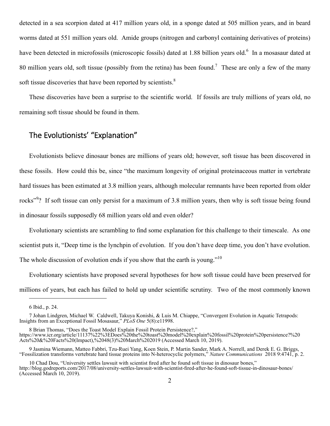detected in a sea scorpion dated at 417 million years old, in a sponge dated at 505 million years, and in beard worms dated at 551 million years old. Amide groups (nitrogen and carbonyl containing derivatives of proteins) have been detected in microfossils (microscopic fossils) dated at 1.88 billion years old.<sup>6</sup> In a mosasaur dated at 80 million years old, soft tissue (possibly from the retina) has been found.<sup>7</sup> These are only a few of the many soft tissue discoveries that have been reported by scientists.<sup>8</sup>

These discoveries have been a surprise to the scientific world. If fossils are truly millions of years old, no remaining soft tissue should be found in them.

#### The Evolutionists' "Explanation"

Evolutionists believe dinosaur bones are millions of years old; however, soft tissue has been discovered in these fossils. How could this be, since "the maximum longevity of original proteinaceous matter in vertebrate hard tissues has been estimated at 3.8 million years, although molecular remnants have been reported from older rocks"<sup>9</sup>? If soft tissue can only persist for a maximum of 3.8 million years, then why is soft tissue being found in dinosaur fossils supposedly 68 million years old and even older?

Evolutionary scientists are scrambling to find some explanation for this challenge to their timescale. As one scientist puts it, "Deep time is the lynchpin of evolution. If you don't have deep time, you don't have evolution. The whole discussion of evolution ends if you show that the earth is young."<sup>10</sup>

Evolutionary scientists have proposed several hypotheses for how soft tissue could have been preserved for millions of years, but each has failed to hold up under scientific scrutiny. Two of the most commonly known

<sup>6</sup> Ibid., p. 24.

<sup>7</sup> Johan Lindgren, Michael W. Caldwell, Takuya Konishi, & Luis M. Chiappe, "Convergent Evolution in Aquatic Tetrapods: Insights from an Exceptional Fossil Mosasaur," *PLoS One* 5(8):e11998.

<sup>8</sup> Brian Thomas, "Does the Toast Model Explain Fossil Protein Persistence?," https://www.icr.org/article/11137%22%3EDoes%20the%20toast%20model%20explain%20fossil%20protein%20persistence?%20 Acts%20&%20Facts%20(Impact),%2048(3)%20March%202019 (Accessed March 10, 2019).

<sup>9</sup> Jasmina Wiemann, Matteo Fabbri, Tzu-Ruei Yang, Koen Stein, P. Martin Sander, Mark A. Norrell, and Derek E. G. Briggs, "Fossilization transforms vertebrate hard tissue proteins into N-heterocyclic polymers," *Nature Communications* 2018 9:4741, p. 2.

<sup>10</sup> Chad Dou, "University settles lawsuit with scientist fired after he found soft tissue in dinosaur bones," http://blog.godreports.com/2017/08/university-settles-lawsuit-with-scientist-fired-after-he-found-soft-tissue-in-dinosaur-bones/ (Accessed March 10, 2019).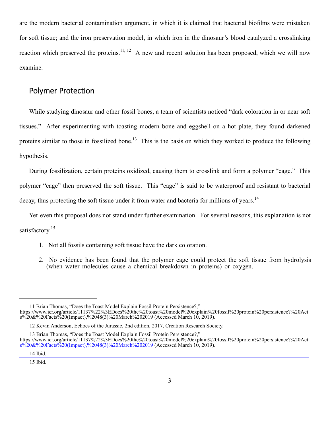are the modern bacterial contamination argument, in which it is claimed that bacterial biofilms were mistaken for soft tissue; and the iron preservation model, in which iron in the dinosaur's blood catalyzed a crosslinking reaction which preserved the proteins.<sup>11, 12</sup> A new and recent solution has been proposed, which we will now examine.

#### Polymer Protection

While studying dinosaur and other fossil bones, a team of scientists noticed "dark coloration in or near soft tissues." After experimenting with toasting modern bone and eggshell on a hot plate, they found darkened proteins similar to those in fossilized bone.<sup>13</sup> This is the basis on which they worked to produce the following hypothesis.

During fossilization, certain proteins oxidized, causing them to crosslink and form a polymer "cage." This polymer "cage" then preserved the soft tissue. This "cage" is said to be waterproof and resistant to bacterial decay, thus protecting the soft tissue under it from water and bacteria for millions of years.<sup>14</sup>

Yet even this proposal does not stand under further examination. For several reasons, this explanation is not satisfactory.<sup>15</sup>

- 1. Not all fossils containing soft tissue have the dark coloration.
- 2. No evidence has been found that the polymer cage could protect the soft tissue from hydrolysis (when water molecules cause a chemical breakdown in proteins) or oxygen.

<sup>11</sup> Brian Thomas, "Does the Toast Model Explain Fossil Protein Persistence?,"

https://www.icr.org/article/11137%22%3EDoes%20the%20toast%20model%20explain%20fossil%20protein%20persistence?%20Act s%20&%20Facts%20(Impact),%2048(3)%20March%202019 (Accessed March 10, 2019).

<sup>12</sup> Kevin Anderson, Echoes of the Jurassic, 2nd edition, 2017, Creation Research Society.

<sup>13</sup> Brian Thomas, "Does the Toast Model Explain Fossil Protein Persistence?,"

https://www.icr.org/article/11137%22%3EDoes%20the%20toast%20model%20explain%20fossil%20protein%20persistence?%20Act s%20&%20Facts%20(Impact),%2048(3)%20March%202019 (Accessed March 10, 2019).

<sup>14</sup> Ibid.

<sup>15</sup> Ibid.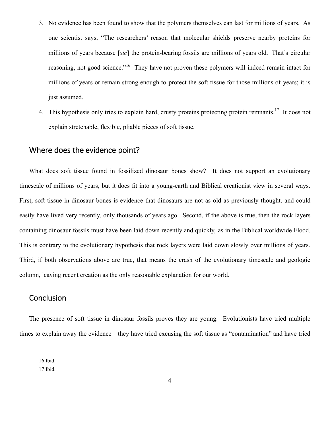- 3. No evidence has been found to show that the polymers themselves can last for millions of years. As one scientist says, "The researchers' reason that molecular shields preserve nearby proteins for millions of years because [*sic*] the protein-bearing fossils are millions of years old. That's circular reasoning, not good science."<sup>16</sup> They have not proven these polymers will indeed remain intact for millions of years or remain strong enough to protect the soft tissue for those millions of years; it is just assumed.
- 4. This hypothesis only tries to explain hard, crusty proteins protecting protein remnants.<sup>17</sup> It does not explain stretchable, flexible, pliable pieces of soft tissue.

#### Where does the evidence point?

What does soft tissue found in fossilized dinosaur bones show? It does not support an evolutionary timescale of millions of years, but it does fit into a young-earth and Biblical creationist view in several ways. First, soft tissue in dinosaur bones is evidence that dinosaurs are not as old as previously thought, and could easily have lived very recently, only thousands of years ago. Second, if the above is true, then the rock layers containing dinosaur fossils must have been laid down recently and quickly, as in the Biblical worldwide Flood. This is contrary to the evolutionary hypothesis that rock layers were laid down slowly over millions of years. Third, if both observations above are true, that means the crash of the evolutionary timescale and geologic column, leaving recent creation as the only reasonable explanation for our world.

## Conclusion

The presence of soft tissue in dinosaur fossils proves they are young. Evolutionists have tried multiple times to explain away the evidence—they have tried excusing the soft tissue as "contamination" and have tried

<sup>16</sup> Ibid.

<sup>17</sup> Ibid.